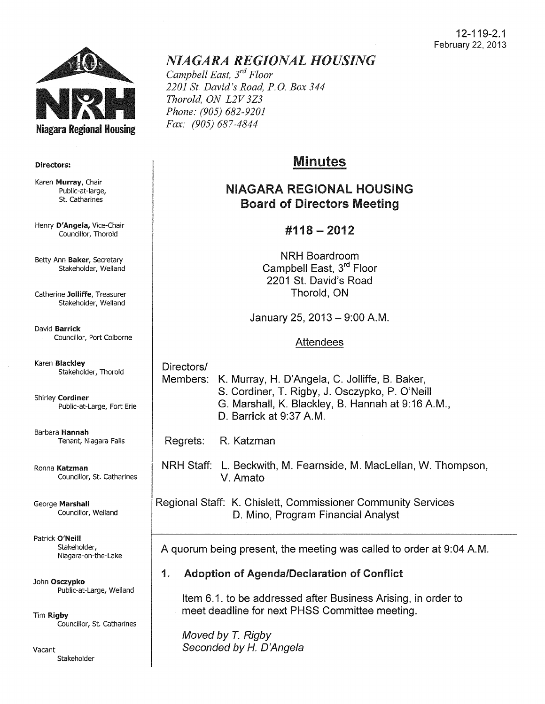

#### Directors:

Karen Murray, Chair Public-at-large, St. Catharines

Henry D'Angela, Vice-Chair Councillor, Thorold

Betty Ann Baker, Secretary Stakeholder, Weiland

Catherine Jolliffe, Treasurer Stakeholder, Weiland

David Barrick Councillor, Port Colborne

Karen Blackley Stakeholder, Thorold

Shirley Cordiner Public-at-Large, Fort Erie

Barbara Hannah Tenant, Niagara Falls

Ronna Katzman Councillor, St. Catharines

George Marshall Councillor, Weiland

Patrick O'Neill Stakeholder, Niagara-on-the-Lake

John Osczypko Public-at-Large, Weiland

Tim Rigby Councillor, St. catharines

Vacant Stakeholder

# *NIAGARA REGIONAL HOUSING*

*Campbell East, 3rd Floor 2201 St. David's Road, P.O. Box 344 Thorold, ON L2V 3Z3 Phone: (905) 682-9201 Fax: (905) 687-4844* 

# Minutes

# NIAGARA REGIONAL HOUSING Board of Directors Meeting

# #118- 2012

NRH Boardroom Campbell East, 3<sup>rd</sup> Floor 2201 St. David's Road Thorold, ON

January 25, 2013- 9:00A.M.

#### Attendees

Directors/ Members: K. Murray, H. D'Angela, C. Jolliffe, B. Baker, S. Cordiner, T. Rigby, J. Osczypko, P. O'Neill G. Marshall, K. Blackley, B. Hannah at 9:16 A.M., D. Barrick at 9:37 A.M.

Regrets: R. Katzman

NRH Staff: L. Beckwith, M. Fearnside, M. Maclellan, W. Thompson, V. Amato

Regional Staff: K. Chislett, Commissioner Community Services D. Mino, Program Financial Analyst

A quorum being present, the meeting was called to order at 9:04A.M.

#### 1. Adoption of Agenda/Declaration of Conflict

Item 6.1. to be addressed after Business Arising, in order to meet deadline for next PHSS Committee meeting.

Moved by *T.* Rigby Seconded by *H.* D'Angela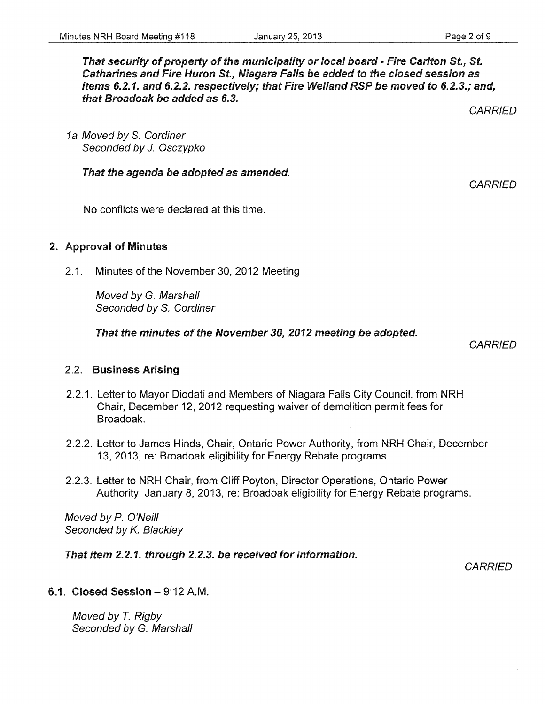That security of property of the municipality or local board - Fire Carlton St., St. Catharines and Fire Huron St., Niagara Falls be added to the closed session as items 6.2.1. and 6.2.2. respectively; that Fire Weiland RSP be moved to 6.2.3.; and, that Broadoak be added as 6.3.

1a Moved by S. Cordiner Seconded by J. Osczypko

That the agenda be adopted as amended.

No conflicts were declared at this time.

#### 2. Approval of Minutes

2.1. Minutes of the November 30, 2012 Meeting

Moved by G. Marshall Seconded by S. Cordiner

That the minutes of the November 30, 2012 meeting be adopted.

**CARRIED** 

#### 2.2. Business Arising

- 2.2.1. Letter to Mayor Diodati and Members of Niagara Falls City Council, from NRH Chair, December 12, 2012 requesting waiver of demolition permit fees for Broadoak.
- 2.2.2. Letter to James Hinds, Chair, Ontario Power Authority, from NRH Chair, December 13, 2013, re: Broadoak eligibility for Energy Rebate programs.
- 2.2.3. Letter to NRH Chair, from Cliff Poyton, Director Operations, Ontario Power Authority, January 8, 2013, re: Broadoak eligibility for Energy Rebate programs.

Moved by P. O'Neill Seconded by K. Blackley

That item 2.2. 1. through 2.2.3. be received for information.

**CARRIED** 

#### 6.1. Closed Session-9:12A.M.

Moved by T. Rigby Seconded by G. Marshall **CARRIED**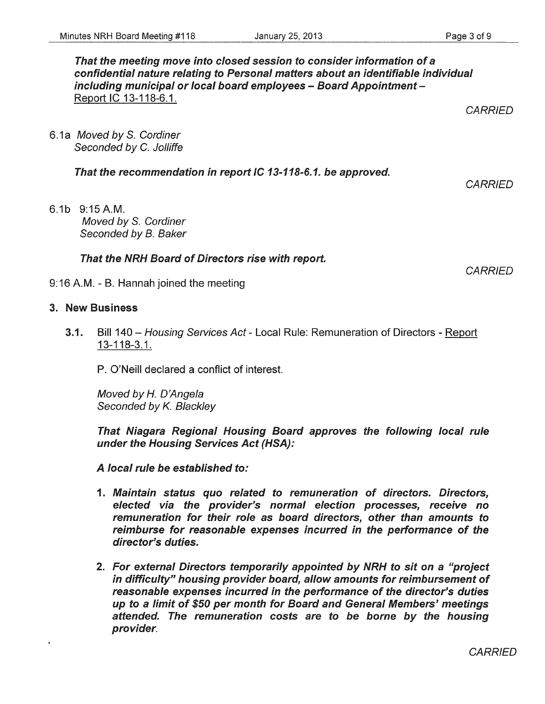That the meeting move into closed session to consider information of a confidential nature relating to Personal matters about an identifiable individual including municipal or local board employees - Board Appointment -Report IC 13-118-6.1.

6.1a Moved by S. Cordiner Seconded by C. Jolliffe

That the recommendation in report IC 13-118-6.1. be approved.

6.1b 9:15A.M. Moved by S. Cordiner Seconded by B. Baker

That the NRH Board of Directors rise with report.

9:16A.M.- B. Hannah joined the meeting

# 3. New Business

3.1. Bill 140 - Housing Services Act - Local Rule: Remuneration of Directors - Report 13-118-3.1.

P. O'Neill declared a conflict of interest.

Moved by *H.* D'Angela Seconded by K. Blackley

That Niagara Regional Housing Board approves the following local rule under the Housing Services Act (HSA):

A local rule be established to:

- 1. Maintain status quo related to remuneration of directors. Directors, elected via the provider's normal election processes, receive no remuneration for their role as board directors, other than amounts to reimburse for reasonable expenses incurred in the performance of the director's duties.
- 2. For external Directors temporarily appointed by NRH to sit on a ''project in difficulty" housing provider board, allow amounts for reimbursement of reasonable expenses incurred in the performance of the director's duties up to a limit of \$50 per month for Board and General Members' meetings attended. The remuneration costs are to be borne by the housing provider.

**CARRIED** 

**CARRIED**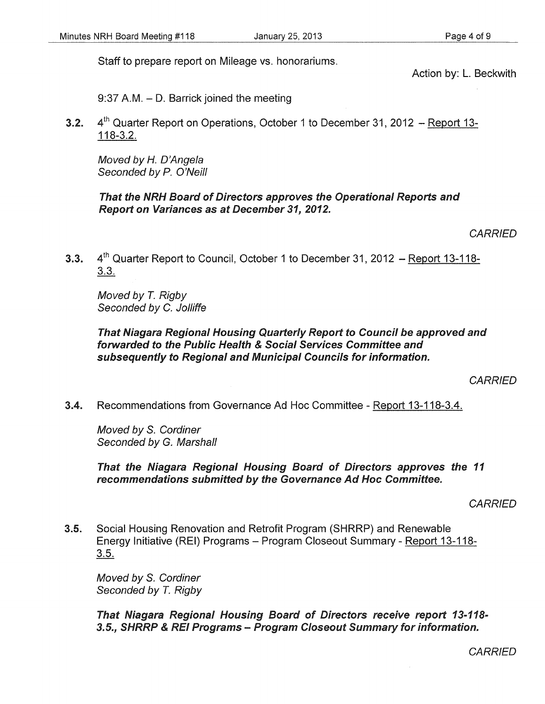Staff to prepare report on Mileage vs. honorariums.

Action by: L. Beckwith

9:37 A.M. - D. Barrick joined the meeting

**3.2.**  $4^{\text{th}}$  Quarter Report on Operations, October 1 to December 31, 2012 – Report 13-118-3.2.

Moved by *H.* D'Angela Seconded by P. O'Neill

### That the NRH Board of Directors approves the Operational Reports and Report on Variances as at December 31, 2012.

**CARRIED** 

3.3.  $4<sup>th</sup>$  Quarter Report to Council, October 1 to December 31, 2012 – Report 13-118-3.3.

Moved by *T.* Rigby Seconded by C. Jolliffe

That Niagara Regional Housing Quarterly Report to Council be approved and forwarded to the Public Health & Social Services Committee and subsequently to Regional and Municipal Councils for information.

**CARRIED** 

3.4. Recommendations from Governance Ad Hoc Committee - Report 13-118-3.4.

Moved by S. Cordiner Seconded by G. Marshall

That the Niagara Regional Housing Board of Directors approves the 11 recommendations submitted by the Governance Ad Hoc Committee.

**CARRIED** 

3.5. Social Housing Renovation and Retrofit Program (SHRRP) and Renewable Energy Initiative (REI) Programs - Program Closeout Summary- Report 13-118- 3.5.

Moved by S. Cordiner Seconded by *T.* Rigby

That Niagara Regional Housing Board of Directors receive report 13-118- 3.5., SHRRP & REI Programs- Program Closeout Summary for information.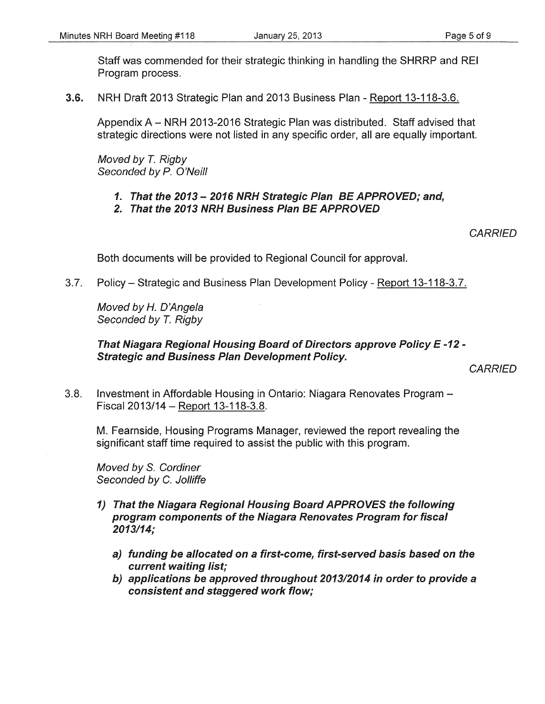Staff was commended for their strategic thinking in handling the SHRRP and REI Program process.

3.6. NRH Draft 2013 Strategic Plan and 2013 Business Plan - Report 13-118-3.6.

Appendix A- NRH 2013-2016 Strategic Plan was distributed. Staff advised that strategic directions were not listed in any specific order, all are equally important.

Moved by T. Rigby Seconded by P. O'Neill

- *1.* That the *2013- 2016* NRH Strategic Plan BE APPROVED; and,
- *2.* That the *2013* NRH Business Plan BE APPROVED

**CARRIED** 

Both documents will be provided to Regional Council for approval.

3.7. Policy- Strategic and Business Plan Development Policy- Report 13-118-3.7.

Moved by *H.* D'Angela Seconded by T. Rigby

# That Niagara Regional Housing Board of Directors approve Policy E *-12-* Strategic and Business Plan Development Policy.

3.8. Investment in Affordable Housing in Ontario: Niagara Renovates Program - Fiscal 2013/14 - Report 13-118-3.8.

M. Fearnside, Housing Programs Manager, reviewed the report revealing the significant staff time required to assist the public with this program.

Moved by S. Cordiner Seconded by C. Jolliffe

- 1) That the Niagara Regional Housing Board APPROVES the following program components of the Niagara Renovates Program for fiscal *2013114;* 
	- a) funding be allocated on a first-come, first-served basis based on the current waiting list;
	- b) applications be approved throughout *201312014* in order to provide a consistent and staggered work flow;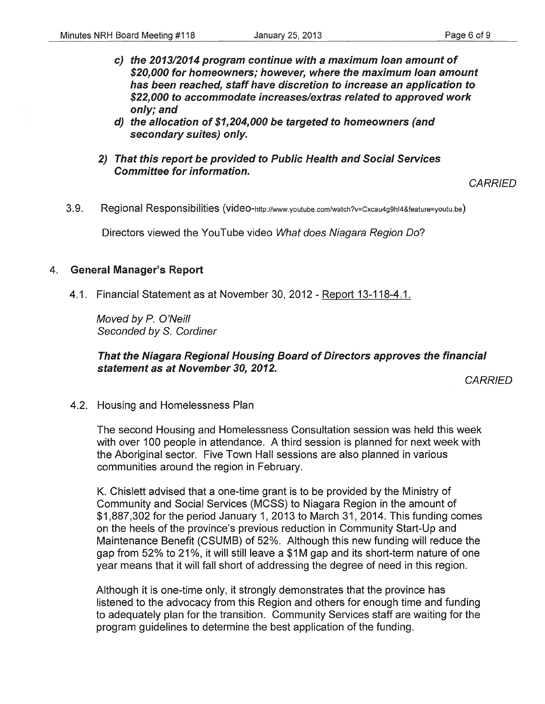- c) the 2013/2014 program continue with a maximum loan amount of \$20,000 for homeowners; however, where the maximum loan amount has been reached, staff have discretion to increase an application to \$22,000 to accommodate increases/extras related to approved work only; and
- d) the allocation of \$1,204,000 be targeted to homeowners (and secondary suites) only.
- 2) That this report be provided to Public Health and Social Services Committee for information.

#### **CARRIED**

3.9. Regional Responsibilities (video-http://www.youtube.com/watch?v=Cxcau4g9hl4&feature=youtu.be)

Directors viewed the YouTube video What does Niagara Region Do?

#### 4. General Manager's Report

4.1. Financial Statement as at November 30, 2012 - Report 13-118-4.1.

Moved by P. O'Neill Seconded by S. Cordiner

That the Niagara Regional Housing Board of Directors approves the financial statement as at November 30, 2012.

**CARRIED** 

4.2. Housing and Homelessness Plan

The second Housing and Homelessness Consultation session was held this week with over 100 people in attendance. A third session is planned for next week with the Aboriginal sector. Five Town Hall sessions are also planned in various communities around the region in February.

K. Chislett advised that a one-time grant is to be provided by the Ministry of Community and Social Services (MCSS) to Niagara Region in the amount of \$1,887,302 for the period January 1, 2013 to March 31, 2014. This funding comes on the heels of the province's previous reduction in Community Start-Up and Maintenance Benefit (CSUMB) of 52%. Although this new funding will reduce the gap from 52% to 21%, it will still leave a \$1M gap and its short-term nature of one year means that it will fall short of addressing the degree of need in this region.

Although it is one-time only, it strongly demonstrates that the province has listened to the advocacy from this Region and others for enough time and funding to adequately plan for the transition. Community Services staff are waiting for the program guidelines to determine the best application of the funding.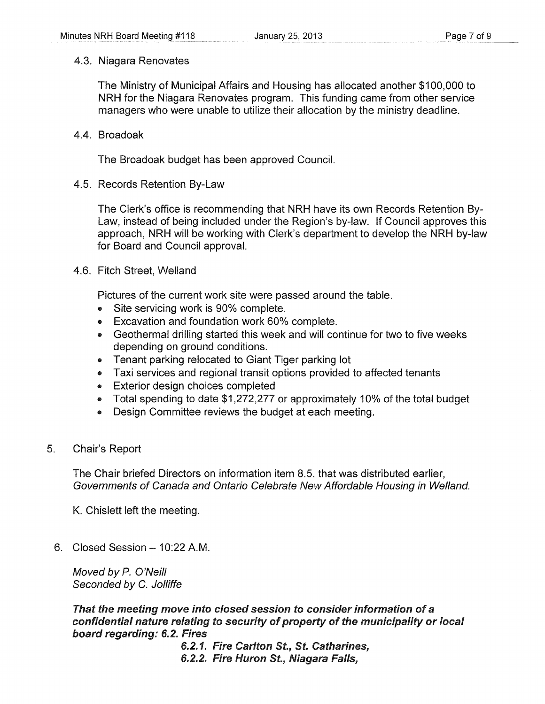#### 4.3. Niagara Renovates

The Ministry of Municipal Affairs and Housing has allocated another \$100,000 to NRH for the Niagara Renovates program. This funding came from other service managers who were unable to utilize their allocation by the ministry deadline.

#### 4.4. Broadoak

The Broadoak budget has been approved Council.

4.5. Records Retention By-Law

The Clerk's office is recommending that NRH have its own Records Retention By-Law, instead of being included under the Region's by-law. If Council approves this approach, NRH will be working with Clerk's department to develop the NRH by-law for Board and Council approval.

4.6. Fitch Street, Weiland

Pictures of the current work site were passed around the table.

- Site servicing work is 90% complete.
- Excavation and foundation work 60% complete.
- Geothermal drilling started this week and will continue for two to five weeks depending on ground conditions.
- Tenant parking relocated to Giant Tiger parking lot
- Taxi services and regional transit options provided to affected tenants
- Exterior design choices completed
- Total spending to date \$1,272,277 or approximately 10% of the total budget
- Design Committee reviews the budget at each meeting.
- 5. Chair's Report

The Chair briefed Directors on information item 8.5. that was distributed earlier, Governments of Canada and Ontario Celebrate New Affordable Housing in Weiland.

K. Chislett left the meeting.

6. Closed Session- 10:22 A.M.

Moved by P. O'Neill Seconded by C. Jolliffe

That the meeting move into closed session to consider information of a confidential nature relating to security of property of the municipality or local board regarding: 6.2. Fires

6.2.1. Fire Carlton St., St. Catharines, 6.2.2. Fire Huron St., Niagara Falls,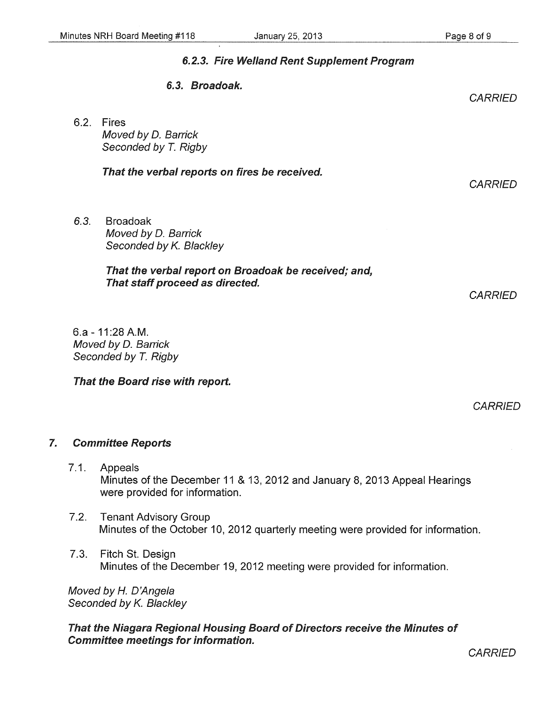# 6.2.3. Fire Weiland Rent Supplement Program 6.3. Broadoak. 6.2. Fires Moved by D. Barrick Seconded by *T.* Rigby That the verbal reports on fires be received. *6.3.* Broadoak Moved by D. Barrick Seconded by K. Blackley That the verbal report on Broadoak be received; and, That staff proceed as directed. 6.a - 11 :28 A.M. Moved by D. Barrick Seconded by *T.* Rigby That the Board rise with report. **CARRIED CARRIED CARRIED**

**CARRIED** 

# 7. Committee Reports

- 7.1. Appeals Minutes of the December 11 & 13, 2012 and January 8, 2013 Appeal Hearings were provided for information.
- 7.2. Tenant Advisory Group Minutes of the October 10, 2012 quarterly meeting were provided for information.
- 7.3. Fitch St. Design Minutes of the December 19, 2012 meeting were provided for information.

Moved by *H.* D'Angela Seconded by K. Blackley

That the Niagara Regional Housing Board of Directors receive the Minutes of Committee meetings for information.